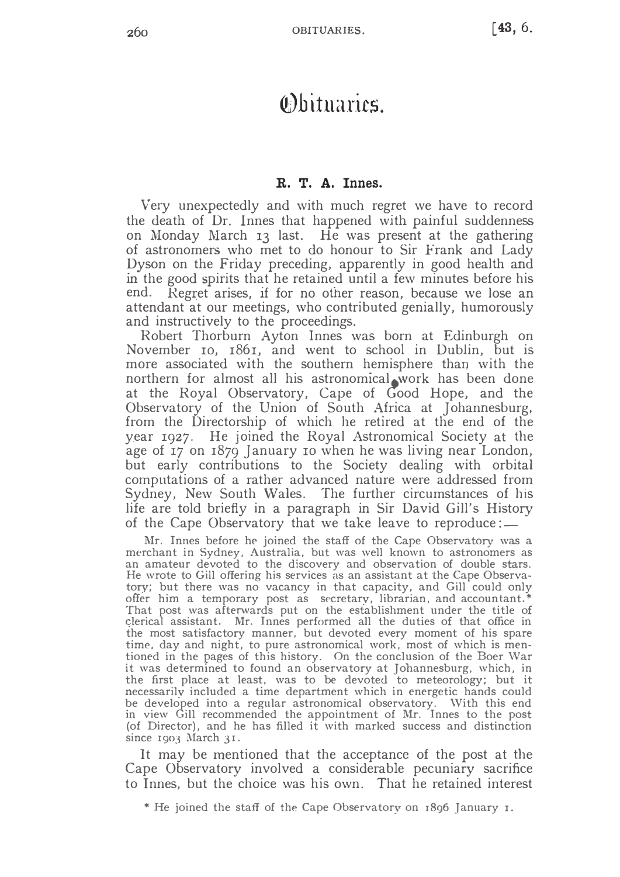## *<u>Obituaries.</u>*

## R. T. A. Innes.

Very unexpectedly and with much regret we have to record the death of Dr. Innes that happened with painful suddenness<br>on Mondou Marsh 50 leat. He was present at the gathering on Monday March 13 last. He was present at the gathering of astronomers who met to do honour to Sir Frank and Lady Dyson on the Friday preceding, apparently in good health and in the good spirits that he retained until a few minutes before his end. Regret arises, if for no other reason, because we lose an attendant at our meetings, who contributed genially, humorously and instructively to the proceedings.

Robert Thorburn Ayton Innes was born at Edinburgh on November 10,  $1861$ , and went to school in Dublin, but is more associated with the southern hemisphere than with the northern for almost all his astronomical work has been done at the Royal Observatory, Cape of  $Good$  Hope, and the Observatory of the Union of South Africa at Johannesburg, from the Directorship of which he retired at the end of the year  $1927$ . He joined the Royal Astronomical Society at the age of  $\overline{17}$  on  $\overline{1879}$  [anuary to when he was living near London, but early contributions to the Society dealing with orbital computations of a rather advanced nature were addressed from Sydney, New South Wales. The further circumstances of his life are told briefly in a paragraph in Sir David Gill's History of the Cape Observatory that we take leave to reproduce: $\equiv$ 

Mr. Innes before he joined the staff of the Cape Observatory was a merchant in Sydney, Australia, but was well known to astronomers as an amateur devoted to the discovery and observation of double stars. He wrote to Gill offering his services as an assistant at the Cape Observatory; but there was no vacancy in that capacity, and Gill could only offer him a temporary post as secretary, librarian, and accountant.<sup>\*</sup> That post was afterwards put on the establishment under the title of clerical assistant. Mr. Innes performed all the duties of that office in the most satisfactory manner, but devoted every moment of his spare time, day and night, to pure astronomical work, most of which is mentioned in the pages of this history. On the conclusion of the Boer War it was determined to found an observatory at Johannesburg, which, in the first place at least, was to be devoted to meteorology; but it necessarily included a time department which in energetic hands could be developed into a regular astronomical observatory. With this end in view Gill recommended the appointment of Mr. Innes to the post (of Director), and he has filled it with marked success and distinction since  $1903$  March  $31$ .

It may be mentioned that the acceptance of the post at the Cape Observatory involved a considerable pecuniary sacrifice to Innes, but the choice was his own. That he retained interest

\* He joined the staff of the Cape Observatory on 1896 January 1.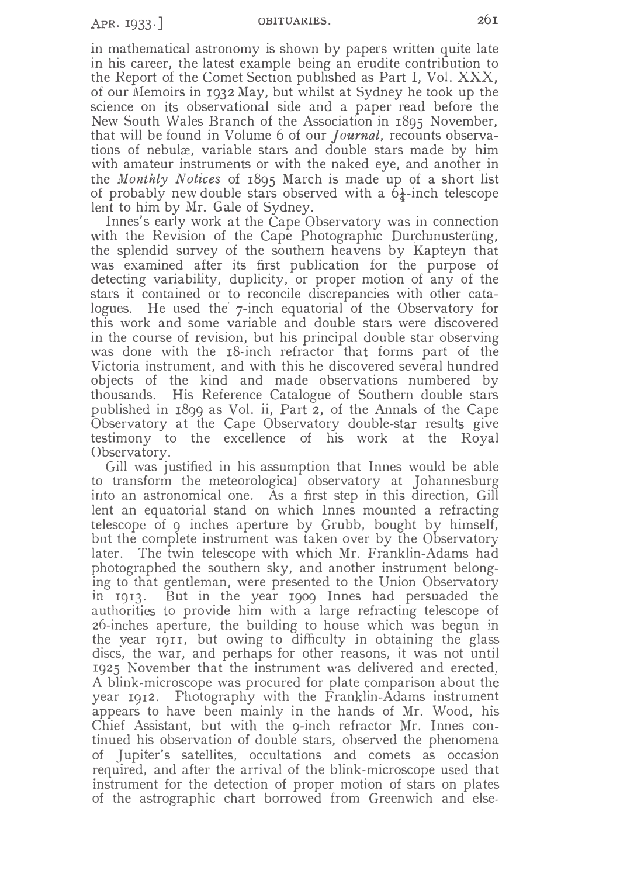in mathematical astronomy is shown by papers written quite late in his career, the latest example being an erudite contribution to the Report of the Comet Section published as Part I, Vol. XXX, of our Memoirs in 1932 May, but whilst at Sydney he took up the science on its observational side and a paper read before the New South Wales Branch of the Association in 1895 November, that will be found in Volume 6 of our *Journal*, recounts observations of nebulæ, variable stars and double stars made by him with amateur instruments or with the naked eye, and another in the *Monthly Notices* of 1895 March is made up of a short list of probably new double stars observed with a  $6\frac{1}{4}$ -inch telescope lent to him by Mr. Gale of Sydney.

Innes's early work at the Cape Observatory was in connection with the Revision of the Cape Photographic Durchmusterung, the splendid survey of the southern heavens by Kapteyn that was examined after its first publication for the purpose of detecting variability, duplicity, or proper motion of any of the stars it contained or to reconcile discrepancies with other catalogues. He used the 7-inch equatorial of the Observatory for this work and some variable and double stars were discovered in the course of revision, but his principal double star observing was done with the 18-inch refractor that forms part of the Victoria instrument, and with this he discovered several hundred objects of the kind and made observations numbered by thousands. His Reference Catalogue of Southern double stars published in 1899 as Vol. ii, Part 2, of the Annals of the Cape Observatory at the Cape Observatory double-star results give testimony to the excellence of his work at the Royal Observatory.

Gill was justified in his assumption that Innes would be able to transform the meteorological observatory at Johannesburg into an astronomical one. As a first step in this direction, Gill lent an equatorial stand on which lnnes mounted a refracting telescope of 9 inches aperture by Grubb, bought by himself, but the complete instrument was taken over by the Observatory later. The twin telescope with which Mr. Franklin-Adams had photographed the southern sky, and another instrument belonging to that gentleman, were presented to the Union Observatory in 1913. But in the year 1909 Innes had persuaded the authorities to provide him with a large refracting telescope of 26-inches aperture, the building to house which was begun in the year 1911, but owing to difficulty in obtaining the glass discs, the war, and perhaps for other reasons, it was not until 1925 November that the instrument was delivered and erected. A blink-microscope was procured for plate comparison about the year 1912. Photography with the Franklin-Adams instrument appears to have been mainly in the hands of Mr. Wood, his Chief Assistant, but with the 9-inch refractor Mr. Innes continued his observation of double stars, observed the phenomena of Jupiter's satellites, occultations and comets as occasion required, and after the arrival of the blink-microscope used that instrument for the detection of proper motion of stars on plates of the astrographic chart borrowed from Greenwich and else-